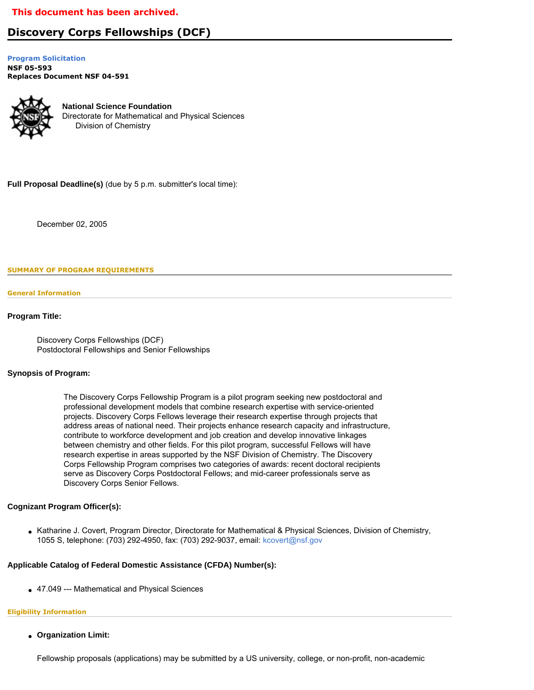# **Discovery Corps Fellowships (DCF)**

**Program Solicitation NSF 05-593**  *Replaces Document* **NSF 04-591** 



**National Science Foundation** Directorate for Mathematical and Physical Sciences Division of Chemistry

**Full Proposal Deadline(s)** (due by 5 p.m. submitter's local time):

December 02, 2005

#### **SUMMARY OF PROGRAM REQUIREMENTS**

#### **General Information**

# **Program Title:**

Discovery Corps Fellowships (DCF) Postdoctoral Fellowships and Senior Fellowships

## **Synopsis of Program:**

The Discovery Corps Fellowship Program is a pilot program seeking new postdoctoral and professional development models that combine research expertise with service-oriented projects. Discovery Corps Fellows leverage their research expertise through projects that address areas of national need. Their projects enhance research capacity and infrastructure, contribute to workforce development and job creation and develop innovative linkages between chemistry and other fields. For this pilot program, successful Fellows will have research expertise in areas supported by the NSF Division of Chemistry. The Discovery Corps Fellowship Program comprises two categories of awards: recent doctoral recipients serve as Discovery Corps Postdoctoral Fellows; and mid-career professionals serve as Discovery Corps Senior Fellows.

# **Cognizant Program Officer(s):**

• Katharine J. Covert, Program Director, Directorate for Mathematical & Physical Sciences, Division of Chemistry, 1055 S, telephone: (703) 292-4950, fax: (703) 292-9037, email: [kcovert@nsf.gov](mailto:kcovert@nsf.gov)

# **Applicable Catalog of Federal Domestic Assistance (CFDA) Number(s):**

• 47.049 --- Mathematical and Physical Sciences

#### **Eligibility Information**

● **Organization Limit:** 

Fellowship proposals (applications) may be submitted by a US university, college, or non-profit, non-academic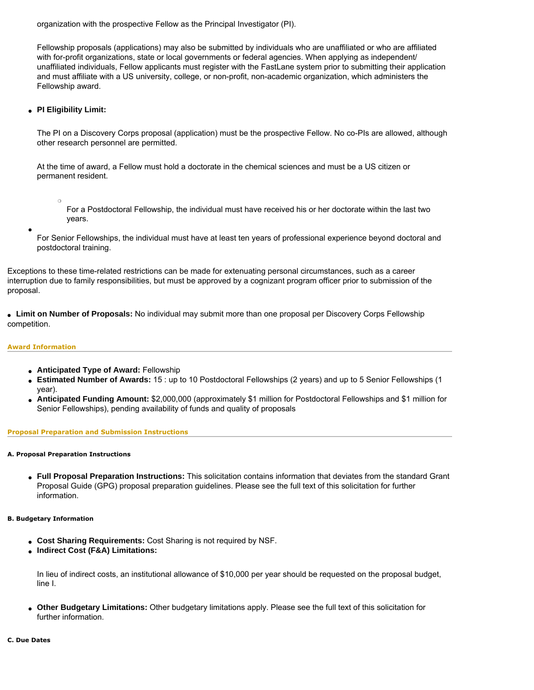organization with the prospective Fellow as the Principal Investigator (PI).

Fellowship proposals (applications) may also be submitted by individuals who are unaffiliated or who are affiliated with for-profit organizations, state or local governments or federal agencies. When applying as independent/ unaffiliated individuals, Fellow applicants must register with the FastLane system prior to submitting their application and must affiliate with a US university, college, or non-profit, non-academic organization, which administers the Fellowship award.

# ● **PI Eligibility Limit:**

The PI on a Discovery Corps proposal (application) must be the prospective Fellow. No co-PIs are allowed, although other research personnel are permitted.

At the time of award, a Fellow must hold a doctorate in the chemical sciences and must be a US citizen or permanent resident.

❍ For a Postdoctoral Fellowship, the individual must have received his or her doctorate within the last two years.

●

For Senior Fellowships, the individual must have at least ten years of professional experience beyond doctoral and postdoctoral training.

Exceptions to these time-related restrictions can be made for extenuating personal circumstances, such as a career interruption due to family responsibilities, but must be approved by a cognizant program officer prior to submission of the proposal.

● **Limit on Number of Proposals:** No individual may submit more than one proposal per Discovery Corps Fellowship competition.

#### **Award Information**

- **Anticipated Type of Award:** Fellowship
- **Estimated Number of Awards:** 15 : up to 10 Postdoctoral Fellowships (2 years) and up to 5 Senior Fellowships (1 year).
- **Anticipated Funding Amount:** \$2,000,000 (approximately \$1 million for Postdoctoral Fellowships and \$1 million for Senior Fellowships), pending availability of funds and quality of proposals

**Proposal Preparation and Submission Instructions**

#### **A. Proposal Preparation Instructions**

● **Full Proposal Preparation Instructions:** This solicitation contains information that deviates from the standard Grant Proposal Guide (GPG) proposal preparation guidelines. Please see the full text of this solicitation for further information.

#### **B. Budgetary Information**

- **Cost Sharing Requirements:** Cost Sharing is not required by NSF.
- **Indirect Cost (F&A) Limitations:**

In lieu of indirect costs, an institutional allowance of \$10,000 per year should be requested on the proposal budget, line I.

● **Other Budgetary Limitations:** Other budgetary limitations apply. Please see the full text of this solicitation for further information.

**C. Due Dates**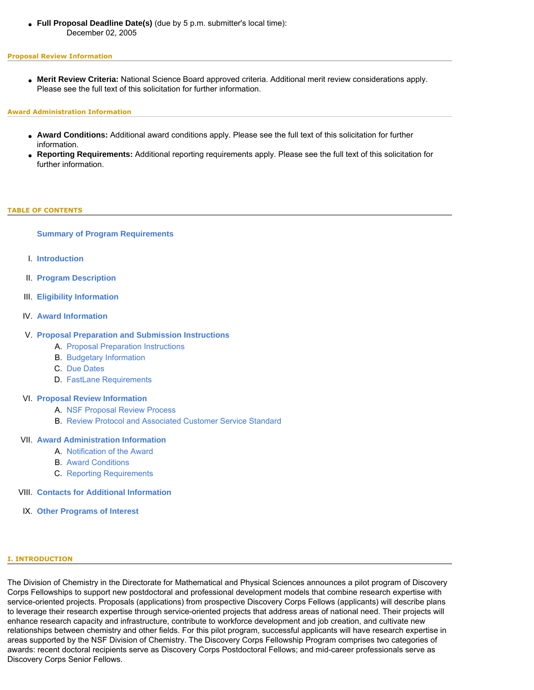● **Full Proposal Deadline Date(s)** (due by 5 p.m. submitter's local time): December 02, 2005

#### **Proposal Review Information**

● **Merit Review Criteria:** National Science Board approved criteria. Additional merit review considerations apply. Please see the full text of this solicitation for further information.

#### **Award Administration Information**

- **Award Conditions:** Additional award conditions apply. Please see the full text of this solicitation for further information.
- **Reporting Requirements:** Additional reporting requirements apply. Please see the full text of this solicitation for further information.

#### **TABLE OF CONTENTS**

## **Summary of Program Requirements**

- I. **Introduction**
- II. **Program Description**
- III. **Eligibility Information**
- IV. **Award Information**

# V. **Proposal Preparation and Submission Instructions**

- A. Proposal Preparation Instructions
- B. Budgetary Information
- C. Due Dates
- D. FastLane Requirements

## VI. **Proposal Review Information**

- A. NSF Proposal Review Process
- B. Review Protocol and Associated Customer Service Standard

# VII. **Award Administration Information**

- A. Notification of the Award
- B. Award Conditions
- C. Reporting Requirements
- VIII. **Contacts for Additional Information**
- IX. **Other Programs of Interest**

## **I. INTRODUCTION**

The Division of Chemistry in the Directorate for Mathematical and Physical Sciences announces a pilot program of Discovery Corps Fellowships to support new postdoctoral and professional development models that combine research expertise with service-oriented projects. Proposals (applications) from prospective Discovery Corps Fellows (applicants) will describe plans to leverage their research expertise through service-oriented projects that address areas of national need. Their projects will enhance research capacity and infrastructure, contribute to workforce development and job creation, and cultivate new relationships between chemistry and other fields. For this pilot program, successful applicants will have research expertise in areas supported by the NSF Division of Chemistry. The Discovery Corps Fellowship Program comprises two categories of awards: recent doctoral recipients serve as Discovery Corps Postdoctoral Fellows; and mid-career professionals serve as Discovery Corps Senior Fellows.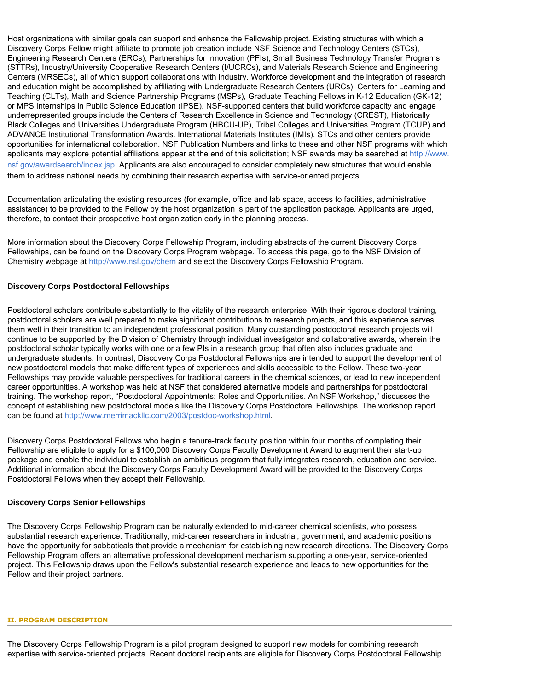Host organizations with similar goals can support and enhance the Fellowship project. Existing structures with which a Discovery Corps Fellow might affiliate to promote job creation include NSF Science and Technology Centers (STCs), Engineering Research Centers (ERCs), Partnerships for Innovation (PFIs), Small Business Technology Transfer Programs (STTRs), Industry/University Cooperative Research Centers (I/UCRCs), and Materials Research Science and Engineering Centers (MRSECs), all of which support collaborations with industry. Workforce development and the integration of research and education might be accomplished by affiliating with Undergraduate Research Centers (URCs), Centers for Learning and Teaching (CLTs), Math and Science Partnership Programs (MSPs), Graduate Teaching Fellows in K-12 Education (GK-12) or MPS Internships in Public Science Education (IPSE). NSF-supported centers that build workforce capacity and engage underrepresented groups include the Centers of Research Excellence in Science and Technology (CREST), Historically Black Colleges and Universities Undergraduate Program (HBCU-UP), Tribal Colleges and Universities Program (TCUP) and ADVANCE Institutional Transformation Awards. International Materials Institutes (IMIs), STCs and other centers provide opportunities for international collaboration. NSF Publication Numbers and links to these and other NSF programs with which applicants may explore potential affiliations appear at the end of this solicitation; NSF awards may be searched at [http://www.](http://www.nsf.gov/awardsearch/index.jsp) [nsf.gov/awardsearch/index.jsp.](http://www.nsf.gov/awardsearch/index.jsp) Applicants are also encouraged to consider completely new structures that would enable them to address national needs by combining their research expertise with service-oriented projects.

Documentation articulating the existing resources (for example, office and lab space, access to facilities, administrative assistance) to be provided to the Fellow by the host organization is part of the application package. Applicants are urged, therefore, to contact their prospective host organization early in the planning process.

More information about the Discovery Corps Fellowship Program, including abstracts of the current Discovery Corps Fellowships, can be found on the Discovery Corps Program webpage. To access this page, go to the NSF Division of Chemistry webpage at [http://www.nsf.gov/chem](http://www.nsf.gov/div/index.jsp?div=CHE) and select the Discovery Corps Fellowship Program.

# **Discovery Corps Postdoctoral Fellowships**

Postdoctoral scholars contribute substantially to the vitality of the research enterprise. With their rigorous doctoral training, postdoctoral scholars are well prepared to make significant contributions to research projects, and this experience serves them well in their transition to an independent professional position. Many outstanding postdoctoral research projects will continue to be supported by the Division of Chemistry through individual investigator and collaborative awards, wherein the postdoctoral scholar typically works with one or a few PIs in a research group that often also includes graduate and undergraduate students. In contrast, Discovery Corps Postdoctoral Fellowships are intended to support the development of new postdoctoral models that make different types of experiences and skills accessible to the Fellow. These two-year Fellowships may provide valuable perspectives for traditional careers in the chemical sciences, or lead to new independent career opportunities. A workshop was held at NSF that considered alternative models and partnerships for postdoctoral training. The workshop report, "Postdoctoral Appointments: Roles and Opportunities. An NSF Workshop," discusses the concept of establishing new postdoctoral models like the Discovery Corps Postdoctoral Fellowships. The workshop report can be found at<http://www.merrimackllc.com/2003/postdoc-workshop.html>.

Discovery Corps Postdoctoral Fellows who begin a tenure-track faculty position within four months of completing their Fellowship are eligible to apply for a \$100,000 Discovery Corps Faculty Development Award to augment their start-up package and enable the individual to establish an ambitious program that fully integrates research, education and service. Additional information about the Discovery Corps Faculty Development Award will be provided to the Discovery Corps Postdoctoral Fellows when they accept their Fellowship.

## **Discovery Corps Senior Fellowships**

The Discovery Corps Fellowship Program can be naturally extended to mid-career chemical scientists, who possess substantial research experience. Traditionally, mid-career researchers in industrial, government, and academic positions have the opportunity for sabbaticals that provide a mechanism for establishing new research directions. The Discovery Corps Fellowship Program offers an alternative professional development mechanism supporting a one-year, service-oriented project. This Fellowship draws upon the Fellow's substantial research experience and leads to new opportunities for the Fellow and their project partners.

#### **II. PROGRAM DESCRIPTION**

The Discovery Corps Fellowship Program is a pilot program designed to support new models for combining research expertise with service-oriented projects. Recent doctoral recipients are eligible for Discovery Corps Postdoctoral Fellowship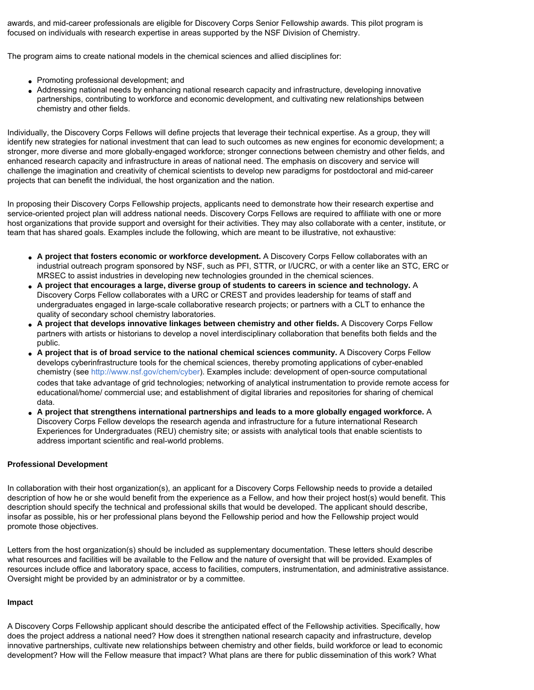awards, and mid-career professionals are eligible for Discovery Corps Senior Fellowship awards. This pilot program is focused on individuals with research expertise in areas supported by the NSF Division of Chemistry.

The program aims to create national models in the chemical sciences and allied disciplines for:

- Promoting professional development; and
- Addressing national needs by enhancing national research capacity and infrastructure, developing innovative partnerships, contributing to workforce and economic development, and cultivating new relationships between chemistry and other fields.

Individually, the Discovery Corps Fellows will define projects that leverage their technical expertise. As a group, they will identify new strategies for national investment that can lead to such outcomes as new engines for economic development; a stronger, more diverse and more globally-engaged workforce; stronger connections between chemistry and other fields, and enhanced research capacity and infrastructure in areas of national need. The emphasis on discovery and service will challenge the imagination and creativity of chemical scientists to develop new paradigms for postdoctoral and mid-career projects that can benefit the individual, the host organization and the nation.

In proposing their Discovery Corps Fellowship projects, applicants need to demonstrate how their research expertise and service-oriented project plan will address national needs. Discovery Corps Fellows are required to affiliate with one or more host organizations that provide support and oversight for their activities. They may also collaborate with a center, institute, or team that has shared goals. Examples include the following, which are meant to be illustrative, not exhaustive:

- A project that fosters economic or workforce development. A Discovery Corps Fellow collaborates with an industrial outreach program sponsored by NSF, such as PFI, STTR, or I/UCRC, or with a center like an STC, ERC or MRSEC to assist industries in developing new technologies grounded in the chemical sciences.
- **A project that encourages a large, diverse group of students to careers in science and technology.** A Discovery Corps Fellow collaborates with a URC or CREST and provides leadership for teams of staff and undergraduates engaged in large-scale collaborative research projects; or partners with a CLT to enhance the quality of secondary school chemistry laboratories.
- **A project that develops innovative linkages between chemistry and other fields.** A Discovery Corps Fellow partners with artists or historians to develop a novel interdisciplinary collaboration that benefits both fields and the public.
- **A project that is of broad service to the national chemical sciences community.** A Discovery Corps Fellow develops cyberinfrastructure tools for the chemical sciences, thereby promoting applications of cyber-enabled chemistry (see [http://www.nsf.gov/chem/cyber](http://www.nsf.gov/funding/pgm_summ.jsp?pims_id=13603&org=CHE&from=home)). Examples include: development of open-source computational codes that take advantage of grid technologies; networking of analytical instrumentation to provide remote access for educational/home/ commercial use; and establishment of digital libraries and repositories for sharing of chemical data.
- **A project that strengthens international partnerships and leads to a more globally engaged workforce.** A Discovery Corps Fellow develops the research agenda and infrastructure for a future international Research Experiences for Undergraduates (REU) chemistry site; or assists with analytical tools that enable scientists to address important scientific and real-world problems.

# **Professional Development**

In collaboration with their host organization(s), an applicant for a Discovery Corps Fellowship needs to provide a detailed description of how he or she would benefit from the experience as a Fellow, and how their project host(s) would benefit. This description should specify the technical and professional skills that would be developed. The applicant should describe, insofar as possible, his or her professional plans beyond the Fellowship period and how the Fellowship project would promote those objectives.

Letters from the host organization(s) should be included as supplementary documentation. These letters should describe what resources and facilities will be available to the Fellow and the nature of oversight that will be provided. Examples of resources include office and laboratory space, access to facilities, computers, instrumentation, and administrative assistance. Oversight might be provided by an administrator or by a committee.

# **Impact**

A Discovery Corps Fellowship applicant should describe the anticipated effect of the Fellowship activities. Specifically, how does the project address a national need? How does it strengthen national research capacity and infrastructure, develop innovative partnerships, cultivate new relationships between chemistry and other fields, build workforce or lead to economic development? How will the Fellow measure that impact? What plans are there for public dissemination of this work? What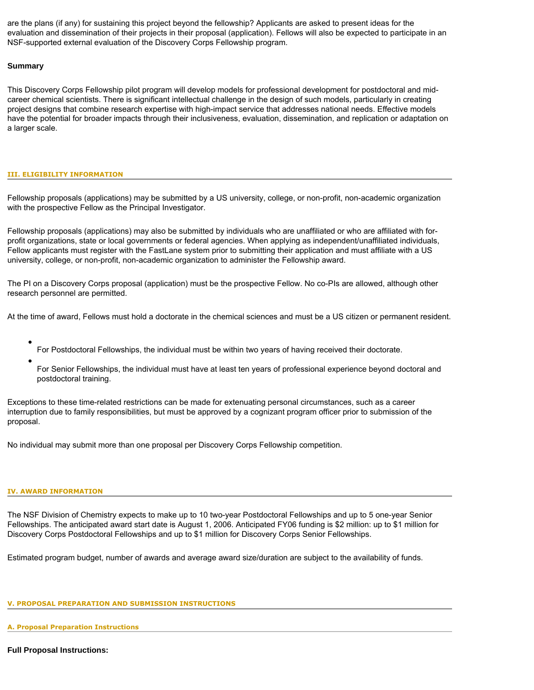are the plans (if any) for sustaining this project beyond the fellowship? Applicants are asked to present ideas for the evaluation and dissemination of their projects in their proposal (application). Fellows will also be expected to participate in an NSF-supported external evaluation of the Discovery Corps Fellowship program.

# **Summary**

This Discovery Corps Fellowship pilot program will develop models for professional development for postdoctoral and midcareer chemical scientists. There is significant intellectual challenge in the design of such models, particularly in creating project designs that combine research expertise with high-impact service that addresses national needs. Effective models have the potential for broader impacts through their inclusiveness, evaluation, dissemination, and replication or adaptation on a larger scale.

## **III. ELIGIBILITY INFORMATION**

Fellowship proposals (applications) may be submitted by a US university, college, or non-profit, non-academic organization with the prospective Fellow as the Principal Investigator.

Fellowship proposals (applications) may also be submitted by individuals who are unaffiliated or who are affiliated with forprofit organizations, state or local governments or federal agencies. When applying as independent/unaffiliated individuals, Fellow applicants must register with the FastLane system prior to submitting their application and must affiliate with a US university, college, or non-profit, non-academic organization to administer the Fellowship award.

The PI on a Discovery Corps proposal (application) must be the prospective Fellow. No co-PIs are allowed, although other research personnel are permitted.

At the time of award, Fellows must hold a doctorate in the chemical sciences and must be a US citizen or permanent resident.

- For Postdoctoral Fellowships, the individual must be within two years of having received their doctorate.
- For Senior Fellowships, the individual must have at least ten years of professional experience beyond doctoral and postdoctoral training.

Exceptions to these time-related restrictions can be made for extenuating personal circumstances, such as a career interruption due to family responsibilities, but must be approved by a cognizant program officer prior to submission of the proposal.

No individual may submit more than one proposal per Discovery Corps Fellowship competition.

#### **IV. AWARD INFORMATION**

●

The NSF Division of Chemistry expects to make up to 10 two-year Postdoctoral Fellowships and up to 5 one-year Senior Fellowships. The anticipated award start date is August 1, 2006. Anticipated FY06 funding is \$2 million: up to \$1 million for Discovery Corps Postdoctoral Fellowships and up to \$1 million for Discovery Corps Senior Fellowships.

Estimated program budget, number of awards and average award size/duration are subject to the availability of funds.

# **V. PROPOSAL PREPARATION AND SUBMISSION INSTRUCTIONS**

**A. Proposal Preparation Instructions**

**Full Proposal Instructions:**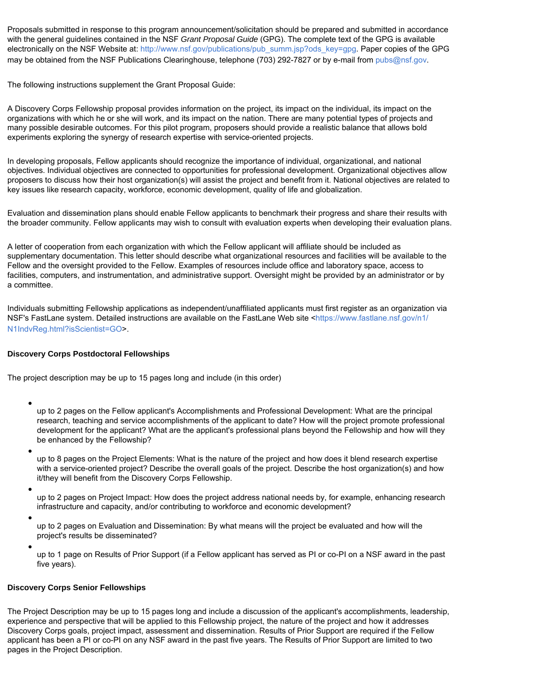Proposals submitted in response to this program announcement/solicitation should be prepared and submitted in accordance with the general guidelines contained in the NSF *Grant Proposal Guide* (GPG). The complete text of the GPG is available electronically on the NSF Website at: [http://www.nsf.gov/publications/pub\\_summ.jsp?ods\\_key=gpg.](http://www.nsf.gov/publications/pub_summ.jsp?ods_key=gpg) Paper copies of the GPG may be obtained from the NSF Publications Clearinghouse, telephone (703) 292-7827 or by e-mail from [pubs@nsf.gov](mailto:pubs@nsf.gov)

The following instructions supplement the Grant Proposal Guide:

A Discovery Corps Fellowship proposal provides information on the project, its impact on the individual, its impact on the organizations with which he or she will work, and its impact on the nation. There are many potential types of projects and many possible desirable outcomes. For this pilot program, proposers should provide a realistic balance that allows bold experiments exploring the synergy of research expertise with service-oriented projects.

In developing proposals, Fellow applicants should recognize the importance of individual, organizational, and national objectives. Individual objectives are connected to opportunities for professional development. Organizational objectives allow proposers to discuss how their host organization(s) will assist the project and benefit from it. National objectives are related to key issues like research capacity, workforce, economic development, quality of life and globalization.

Evaluation and dissemination plans should enable Fellow applicants to benchmark their progress and share their results with the broader community. Fellow applicants may wish to consult with evaluation experts when developing their evaluation plans.

A letter of cooperation from each organization with which the Fellow applicant will affiliate should be included as supplementary documentation. This letter should describe what organizational resources and facilities will be available to the Fellow and the oversight provided to the Fellow. Examples of resources include office and laboratory space, access to facilities, computers, and instrumentation, and administrative support. Oversight might be provided by an administrator or by a committee.

Individuals submitting Fellowship applications as independent/unaffiliated applicants must first register as an organization via NSF's FastLane system. Detailed instructions are available on the FastLane Web site [<https://www.fastlane.nsf.gov/n1/](https://www.fastlane.nsf.gov/n1/N1IndvReg.html?isScientist=GO) [N1IndvReg.html?isScientist=GO](https://www.fastlane.nsf.gov/n1/N1IndvReg.html?isScientist=GO)>.

# **Discovery Corps Postdoctoral Fellowships**

The project description may be up to 15 pages long and include (in this order)

●

up to 2 pages on the Fellow applicant's Accomplishments and Professional Development: What are the principal research, teaching and service accomplishments of the applicant to date? How will the project promote professional development for the applicant? What are the applicant's professional plans beyond the Fellowship and how will they be enhanced by the Fellowship?

- up to 8 pages on the Project Elements: What is the nature of the project and how does it blend research expertise with a service-oriented project? Describe the overall goals of the project. Describe the host organization(s) and how it/they will benefit from the Discovery Corps Fellowship.
- ●

up to 2 pages on Project Impact: How does the project address national needs by, for example, enhancing research infrastructure and capacity, and/or contributing to workforce and economic development?

●

up to 2 pages on Evaluation and Dissemination: By what means will the project be evaluated and how will the project's results be disseminated?

●

up to 1 page on Results of Prior Support (if a Fellow applicant has served as PI or co-PI on a NSF award in the past five years).

# **Discovery Corps Senior Fellowships**

The Project Description may be up to 15 pages long and include a discussion of the applicant's accomplishments, leadership, experience and perspective that will be applied to this Fellowship project, the nature of the project and how it addresses Discovery Corps goals, project impact, assessment and dissemination. Results of Prior Support are required if the Fellow applicant has been a PI or co-PI on any NSF award in the past five years. The Results of Prior Support are limited to two pages in the Project Description.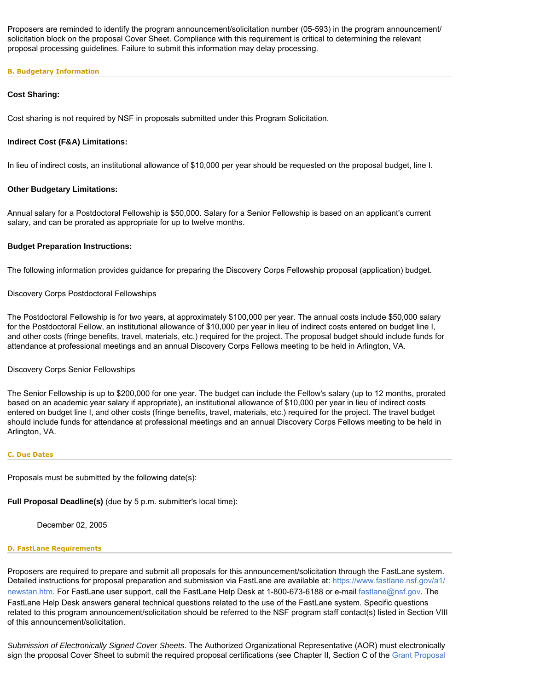Proposers are reminded to identify the program announcement/solicitation number (05-593) in the program announcement/ solicitation block on the proposal Cover Sheet. Compliance with this requirement is critical to determining the relevant proposal processing guidelines. Failure to submit this information may delay processing.

#### **B. Budgetary Information**

# **Cost Sharing:**

Cost sharing is not required by NSF in proposals submitted under this Program Solicitation.

# **Indirect Cost (F&A) Limitations:**

In lieu of indirect costs, an institutional allowance of \$10,000 per year should be requested on the proposal budget, line I.

# **Other Budgetary Limitations:**

Annual salary for a Postdoctoral Fellowship is \$50,000. Salary for a Senior Fellowship is based on an applicant's current salary, and can be prorated as appropriate for up to twelve months.

# **Budget Preparation Instructions:**

The following information provides guidance for preparing the Discovery Corps Fellowship proposal (application) budget.

# Discovery Corps Postdoctoral Fellowships

The Postdoctoral Fellowship is for two years, at approximately \$100,000 per year. The annual costs include \$50,000 salary for the Postdoctoral Fellow, an institutional allowance of \$10,000 per year in lieu of indirect costs entered on budget line I, and other costs (fringe benefits, travel, materials, etc.) required for the project. The proposal budget should include funds for attendance at professional meetings and an annual Discovery Corps Fellows meeting to be held in Arlington, VA.

#### Discovery Corps Senior Fellowships

The Senior Fellowship is up to \$200,000 for one year. The budget can include the Fellow's salary (up to 12 months, prorated based on an academic year salary if appropriate), an institutional allowance of \$10,000 per year in lieu of indirect costs entered on budget line I, and other costs (fringe benefits, travel, materials, etc.) required for the project. The travel budget should include funds for attendance at professional meetings and an annual Discovery Corps Fellows meeting to be held in Arlington, VA.

#### **C. Due Dates**

Proposals must be submitted by the following date(s):

**Full Proposal Deadline(s)** (due by 5 p.m. submitter's local time):

December 02, 2005

# **D. FastLane Requirements**

Proposers are required to prepare and submit all proposals for this announcement/solicitation through the FastLane system. Detailed instructions for proposal preparation and submission via FastLane are available at: [https://www.fastlane.nsf.gov/a1/](https://www.fastlane.nsf.gov/a1/newstan.htm) [newstan.htm](https://www.fastlane.nsf.gov/a1/newstan.htm). For FastLane user support, call the FastLane Help Desk at 1-800-673-6188 or e-mail [fastlane@nsf.gov](mailto:fastlane@nsf.gov). The FastLane Help Desk answers general technical questions related to the use of the FastLane system. Specific questions related to this program announcement/solicitation should be referred to the NSF program staff contact(s) listed in Section VIII of this announcement/solicitation.

*Submission of Electronically Signed Cover Sheets*. The Authorized Organizational Representative (AOR) must electronically sign the proposal Cover Sheet to submit the required proposal certifications (see Chapter II, Section C of the [Grant Proposal](http://www.nsf.gov/publications/pub_summ.jsp?ods_key=gpg)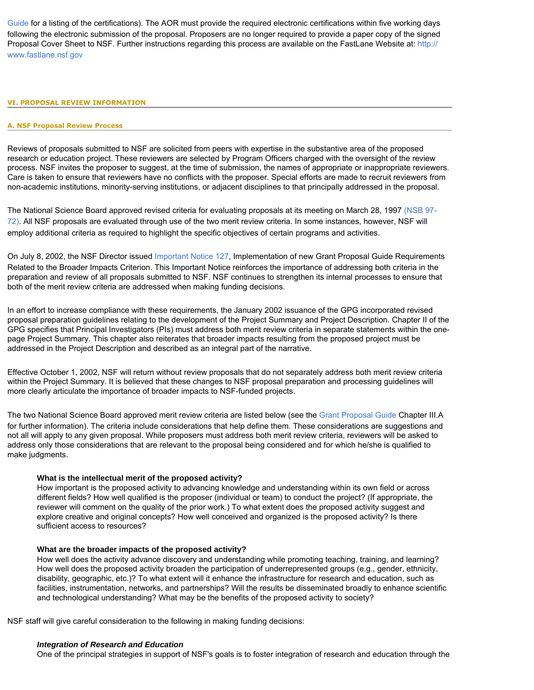[Guide](http://www.nsf.gov/publications/pub_summ.jsp?ods_key=gpg) for a listing of the certifications). The AOR must provide the required electronic certifications within five working days following the electronic submission of the proposal. Proposers are no longer required to provide a paper copy of the signed Proposal Cover Sheet to NSF. Further instructions regarding this process are available on the FastLane Website at: [http://](http://www.fastlane.nsf.gov/) [www.fastlane.nsf.gov](http://www.fastlane.nsf.gov/)

#### **VI. PROPOSAL REVIEW INFORMATION**

#### **A. NSF Proposal Review Process**

Reviews of proposals submitted to NSF are solicited from peers with expertise in the substantive area of the proposed research or education project. These reviewers are selected by Program Officers charged with the oversight of the review process. NSF invites the proposer to suggest, at the time of submission, the names of appropriate or inappropriate reviewers. Care is taken to ensure that reviewers have no conflicts with the proposer. Special efforts are made to recruit reviewers from non-academic institutions, minority-serving institutions, or adjacent disciplines to that principally addressed in the proposal.

The National Science Board approved revised criteria for evaluating proposals at its meeting on March 28, 1997 [\(NSB 97-](http://www.nsf.gov/publications/pub_summ.jsp?ods_key=nsb9772) [72\).](http://www.nsf.gov/publications/pub_summ.jsp?ods_key=nsb9772) All NSF proposals are evaluated through use of the two merit review criteria. In some instances, however, NSF will employ additional criteria as required to highlight the specific objectives of certain programs and activities.

On July 8, 2002, the NSF Director issued [Important Notice 127](http://www.nsf.gov/publications/pub_summ.jsp?ods_key=iin127), Implementation of new Grant Proposal Guide Requirements Related to the Broader Impacts Criterion. This Important Notice reinforces the importance of addressing both criteria in the preparation and review of all proposals submitted to NSF. NSF continues to strengthen its internal processes to ensure that both of the merit review criteria are addressed when making funding decisions.

In an effort to increase compliance with these requirements, the January 2002 issuance of the GPG incorporated revised proposal preparation guidelines relating to the development of the Project Summary and Project Description. Chapter II of the GPG specifies that Principal Investigators (PIs) must address both merit review criteria in separate statements within the onepage Project Summary. This chapter also reiterates that broader impacts resulting from the proposed project must be addressed in the Project Description and described as an integral part of the narrative.

Effective October 1, 2002, NSF will return without review proposals that do not separately address both merit review criteria within the Project Summary. It is believed that these changes to NSF proposal preparation and processing guidelines will more clearly articulate the importance of broader impacts to NSF-funded projects.

The two National Science Board approved merit review criteria are listed below (see the [Grant Proposal Guide](http://www.nsf.gov/publications/pub_summ.jsp?ods_key=gpg) Chapter III.A for further information). The criteria include considerations that help define them. These considerations are suggestions and not all will apply to any given proposal. While proposers must address both merit review criteria, reviewers will be asked to address only those considerations that are relevant to the proposal being considered and for which he/she is qualified to make judgments.

# **What is the intellectual merit of the proposed activity?**

How important is the proposed activity to advancing knowledge and understanding within its own field or across different fields? How well qualified is the proposer (individual or team) to conduct the project? (If appropriate, the reviewer will comment on the quality of the prior work.) To what extent does the proposed activity suggest and explore creative and original concepts? How well conceived and organized is the proposed activity? Is there sufficient access to resources?

#### **What are the broader impacts of the proposed activity?**

How well does the activity advance discovery and understanding while promoting teaching, training, and learning? How well does the proposed activity broaden the participation of underrepresented groups (e.g., gender, ethnicity, disability, geographic, etc.)? To what extent will it enhance the infrastructure for research and education, such as facilities, instrumentation, networks, and partnerships? Will the results be disseminated broadly to enhance scientific and technological understanding? What may be the benefits of the proposed activity to society?

NSF staff will give careful consideration to the following in making funding decisions:

#### *Integration of Research and Education*

One of the principal strategies in support of NSF's goals is to foster integration of research and education through the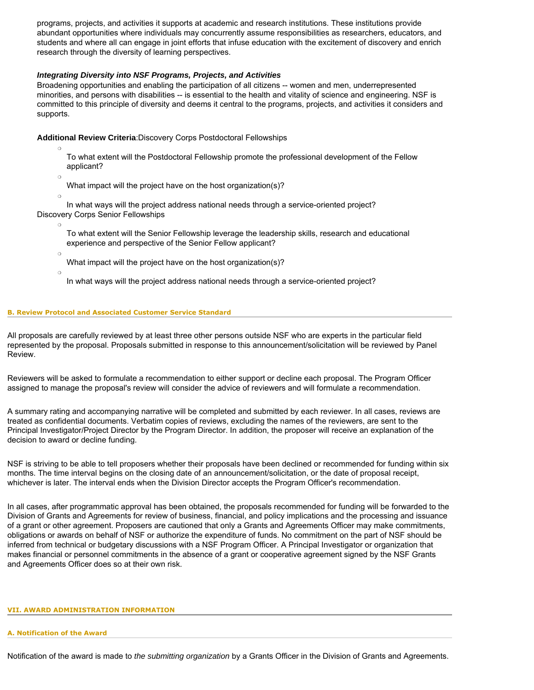programs, projects, and activities it supports at academic and research institutions. These institutions provide abundant opportunities where individuals may concurrently assume responsibilities as researchers, educators, and students and where all can engage in joint efforts that infuse education with the excitement of discovery and enrich research through the diversity of learning perspectives.

# *Integrating Diversity into NSF Programs, Projects, and Activities*

Broadening opportunities and enabling the participation of all citizens -- women and men, underrepresented minorities, and persons with disabilities -- is essential to the health and vitality of science and engineering. NSF is committed to this principle of diversity and deems it central to the programs, projects, and activities it considers and supports.

# **Additional Review Criteria**:Discovery Corps Postdoctoral Fellowships

- To what extent will the Postdoctoral Fellowship promote the professional development of the Fellow applicant?
- What impact will the project have on the host organization(s)?

In what ways will the project address national needs through a service-oriented project? Discovery Corps Senior Fellowships

- To what extent will the Senior Fellowship leverage the leadership skills, research and educational experience and perspective of the Senior Fellow applicant?
- What impact will the project have on the host organization(s)?
- In what ways will the project address national needs through a service-oriented project?

#### **B. Review Protocol and Associated Customer Service Standard**

❍

 $\circ$ 

 $\Omega$ 

❍

 $\circ$ 

 $\circ$ 

All proposals are carefully reviewed by at least three other persons outside NSF who are experts in the particular field represented by the proposal. Proposals submitted in response to this announcement/solicitation will be reviewed by Panel Review.

Reviewers will be asked to formulate a recommendation to either support or decline each proposal. The Program Officer assigned to manage the proposal's review will consider the advice of reviewers and will formulate a recommendation.

A summary rating and accompanying narrative will be completed and submitted by each reviewer. In all cases, reviews are treated as confidential documents. Verbatim copies of reviews, excluding the names of the reviewers, are sent to the Principal Investigator/Project Director by the Program Director. In addition, the proposer will receive an explanation of the decision to award or decline funding.

NSF is striving to be able to tell proposers whether their proposals have been declined or recommended for funding within six months. The time interval begins on the closing date of an announcement/solicitation, or the date of proposal receipt, whichever is later. The interval ends when the Division Director accepts the Program Officer's recommendation.

In all cases, after programmatic approval has been obtained, the proposals recommended for funding will be forwarded to the Division of Grants and Agreements for review of business, financial, and policy implications and the processing and issuance of a grant or other agreement. Proposers are cautioned that only a Grants and Agreements Officer may make commitments, obligations or awards on behalf of NSF or authorize the expenditure of funds. No commitment on the part of NSF should be inferred from technical or budgetary discussions with a NSF Program Officer. A Principal Investigator or organization that makes financial or personnel commitments in the absence of a grant or cooperative agreement signed by the NSF Grants and Agreements Officer does so at their own risk.

#### **VII. AWARD ADMINISTRATION INFORMATION**

**A. Notification of the Award**

Notification of the award is made to *the submitting organization* by a Grants Officer in the Division of Grants and Agreements.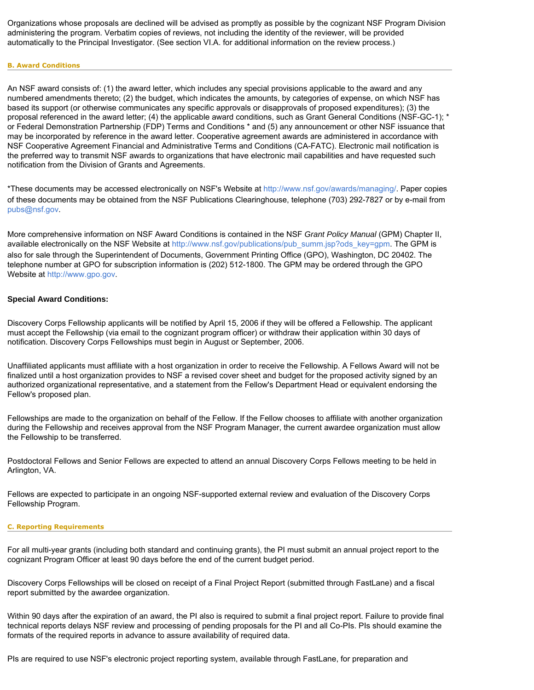Organizations whose proposals are declined will be advised as promptly as possible by the cognizant NSF Program Division administering the program. Verbatim copies of reviews, not including the identity of the reviewer, will be provided automatically to the Principal Investigator. (See section VI.A. for additional information on the review process.)

# **B. Award Conditions**

An NSF award consists of: (1) the award letter, which includes any special provisions applicable to the award and any numbered amendments thereto; (2) the budget, which indicates the amounts, by categories of expense, on which NSF has based its support (or otherwise communicates any specific approvals or disapprovals of proposed expenditures); (3) the proposal referenced in the award letter; (4) the applicable award conditions, such as Grant General Conditions (NSF-GC-1); \* or Federal Demonstration Partnership (FDP) Terms and Conditions \* and (5) any announcement or other NSF issuance that may be incorporated by reference in the award letter. Cooperative agreement awards are administered in accordance with NSF Cooperative Agreement Financial and Administrative Terms and Conditions (CA-FATC). Electronic mail notification is the preferred way to transmit NSF awards to organizations that have electronic mail capabilities and have requested such notification from the Division of Grants and Agreements.

\*These documents may be accessed electronically on NSF's Website at<http://www.nsf.gov/awards/managing/>. Paper copies of these documents may be obtained from the NSF Publications Clearinghouse, telephone (703) 292-7827 or by e-mail from [pubs@nsf.gov](mailto:pubs@nsf.gov).

More comprehensive information on NSF Award Conditions is contained in the NSF *Grant Policy Manual* (GPM) Chapter II, available electronically on the NSF Website at [http://www.nsf.gov/publications/pub\\_summ.jsp?ods\\_key=gpm](http://www.nsf.gov/publications/pub_summ.jsp?ods_key=gpm). The GPM is also for sale through the Superintendent of Documents, Government Printing Office (GPO), Washington, DC 20402. The telephone number at GPO for subscription information is (202) 512-1800. The GPM may be ordered through the GPO Website at [http://www.gpo.gov](http://www.gpo.gov/).

# **Special Award Conditions:**

Discovery Corps Fellowship applicants will be notified by April 15, 2006 if they will be offered a Fellowship. The applicant must accept the Fellowship (via email to the cognizant program officer) or withdraw their application within 30 days of notification. Discovery Corps Fellowships must begin in August or September, 2006.

Unaffiliated applicants must affiliate with a host organization in order to receive the Fellowship. A Fellows Award will not be finalized until a host organization provides to NSF a revised cover sheet and budget for the proposed activity signed by an authorized organizational representative, and a statement from the Fellow's Department Head or equivalent endorsing the Fellow's proposed plan.

Fellowships are made to the organization on behalf of the Fellow. If the Fellow chooses to affiliate with another organization during the Fellowship and receives approval from the NSF Program Manager, the current awardee organization must allow the Fellowship to be transferred.

Postdoctoral Fellows and Senior Fellows are expected to attend an annual Discovery Corps Fellows meeting to be held in Arlington, VA.

Fellows are expected to participate in an ongoing NSF-supported external review and evaluation of the Discovery Corps Fellowship Program.

#### **C. Reporting Requirements**

For all multi-year grants (including both standard and continuing grants), the PI must submit an annual project report to the cognizant Program Officer at least 90 days before the end of the current budget period.

Discovery Corps Fellowships will be closed on receipt of a Final Project Report (submitted through FastLane) and a fiscal report submitted by the awardee organization.

Within 90 days after the expiration of an award, the PI also is required to submit a final project report. Failure to provide final technical reports delays NSF review and processing of pending proposals for the PI and all Co-PIs. PIs should examine the formats of the required reports in advance to assure availability of required data.

PIs are required to use NSF's electronic project reporting system, available through FastLane, for preparation and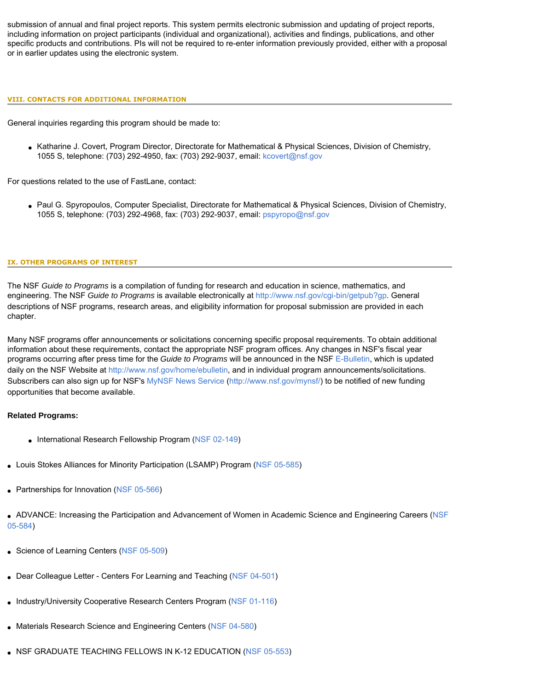submission of annual and final project reports. This system permits electronic submission and updating of project reports, including information on project participants (individual and organizational), activities and findings, publications, and other specific products and contributions. PIs will not be required to re-enter information previously provided, either with a proposal or in earlier updates using the electronic system.

#### **VIII. CONTACTS FOR ADDITIONAL INFORMATION**

General inquiries regarding this program should be made to:

● Katharine J. Covert, Program Director, Directorate for Mathematical & Physical Sciences, Division of Chemistry, 1055 S, telephone: (703) 292-4950, fax: (703) 292-9037, email: [kcovert@nsf.gov](mailto:kcovert@nsf.gov)

For questions related to the use of FastLane, contact:

● Paul G. Spyropoulos, Computer Specialist, Directorate for Mathematical & Physical Sciences, Division of Chemistry, 1055 S, telephone: (703) 292-4968, fax: (703) 292-9037, email: [pspyropo@nsf.gov](mailto:pspyropo@nsf.gov)

#### **IX. OTHER PROGRAMS OF INTEREST**

The NSF *Guide to Programs* is a compilation of funding for research and education in science, mathematics, and engineering. The NSF *Guide to Programs* is available electronically at<http://www.nsf.gov/cgi-bin/getpub?gp>. General descriptions of NSF programs, research areas, and eligibility information for proposal submission are provided in each chapter.

Many NSF programs offer announcements or solicitations concerning specific proposal requirements. To obtain additional information about these requirements, contact the appropriate NSF program offices. Any changes in NSF's fiscal year programs occurring after press time for the *Guide to Programs* will be announced in the NSF [E-Bulletin](http://www.nsf.gov/home/ebulletin), which is updated daily on the NSF Website at<http://www.nsf.gov/home/ebulletin>, and in individual program announcements/solicitations. Subscribers can also sign up for NSF's [MyNSF News Service](http://www.nsf.gov/mynsf/) [\(http://www.nsf.gov/mynsf/](http://www.nsf.gov/mynsf/)) to be notified of new funding opportunities that become available.

#### **Related Programs:**

- International Research Fellowship Program ([NSF 02-149\)](http://www.nsf.gov/cgi-bin/getpub?nsf02149)
- Louis Stokes Alliances for Minority Participation (LSAMP) Program ([NSF 05-585](http://www.nsf.gov/cgi-bin/getpub?nsf05585))
- Partnerships for Innovation [\(NSF 05-566\)](http://www.nsf.gov/cgi-bin/getpub?nsf05566)

• ADVANCE: Increasing the Participation and Advancement of Women in Academic Science and Engineering Careers (NSF [05-584](http://www.nsf.gov/cgi-bin/getpub?nsf05584))

- Science of Learning Centers ([NSF 05-509\)](http://www.nsf.gov/cgi-bin/getpub?nsf05509)
- Dear Colleague Letter Centers For Learning and Teaching [\(NSF 04-501\)](http://www.nsf.gov/cgi-bin/getpub?nsf04501)
- Industry/University Cooperative Research Centers Program [\(NSF 01-116\)](http://www.nsf.gov/cgi-bin/getpub?nsf01116)
- Materials Research Science and Engineering Centers ([NSF 04-580](http://www.nsf.gov/cgi-bin/getpub?nsf04580))
- NSF GRADUATE TEACHING FELLOWS IN K-12 EDUCATION ([NSF 05-553](http://www.nsf.gov/cgi-bin/getpub?nsf05553))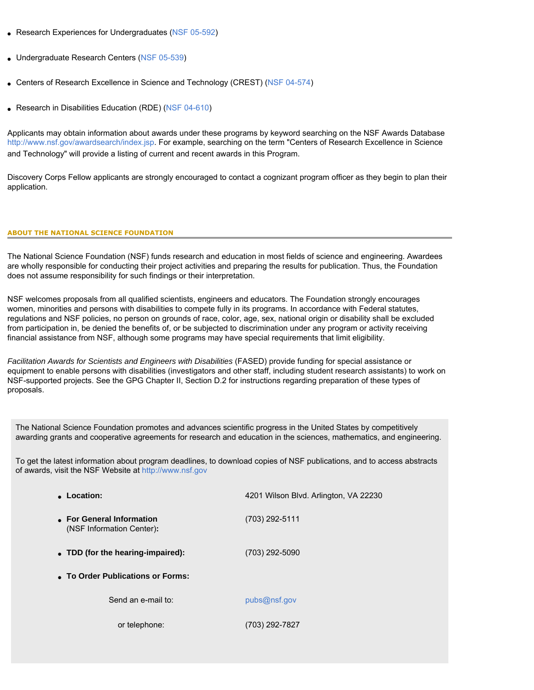- Research Experiences for Undergraduates ([NSF 05-592\)](http://www.nsf.gov/cgi-bin/getpub?nsf05592)
- Undergraduate Research Centers [\(NSF 05-539\)](http://www.nsf.gov/cgi-bin/getpub?nsf05539)
- Centers of Research Excellence in Science and Technology (CREST) ([NSF 04-574](http://www.nsf.gov/cgi-bin/getpub?nsf04574))
- Research in Disabilities Education (RDE) [\(NSF 04-610\)](http://www.nsf.gov/cgi-bin/getpub?nsf04610)

Applicants may obtain information about awards under these programs by keyword searching on the NSF Awards Database [http://www.nsf.gov/awardsearch/index.jsp.](http://www.nsf.gov/awardsearch/index.jsp) For example, searching on the term "Centers of Research Excellence in Science and Technology" will provide a listing of current and recent awards in this Program.

Discovery Corps Fellow applicants are strongly encouraged to contact a cognizant program officer as they begin to plan their application.

#### **ABOUT THE NATIONAL SCIENCE FOUNDATION**

The National Science Foundation (NSF) funds research and education in most fields of science and engineering. Awardees are wholly responsible for conducting their project activities and preparing the results for publication. Thus, the Foundation does not assume responsibility for such findings or their interpretation.

NSF welcomes proposals from all qualified scientists, engineers and educators. The Foundation strongly encourages women, minorities and persons with disabilities to compete fully in its programs. In accordance with Federal statutes, regulations and NSF policies, no person on grounds of race, color, age, sex, national origin or disability shall be excluded from participation in, be denied the benefits of, or be subjected to discrimination under any program or activity receiving financial assistance from NSF, although some programs may have special requirements that limit eligibility.

*Facilitation Awards for Scientists and Engineers with Disabilities* (FASED) provide funding for special assistance or equipment to enable persons with disabilities (investigators and other staff, including student research assistants) to work on NSF-supported projects. See the GPG Chapter II, Section D.2 for instructions regarding preparation of these types of proposals.

The National Science Foundation promotes and advances scientific progress in the United States by competitively awarding grants and cooperative agreements for research and education in the sciences, mathematics, and engineering.

To get the latest information about program deadlines, to download copies of NSF publications, and to access abstracts of awards, visit the NSF Website at [http://www.nsf.gov](http://www.nsf.gov/)

| • Location:                                            | 4201 Wilson Blvd. Arlington, VA 22230 |  |  |
|--------------------------------------------------------|---------------------------------------|--|--|
| • For General Information<br>(NSF Information Center): | (703) 292-5111                        |  |  |
| • TDD (for the hearing-impaired):                      | (703) 292-5090                        |  |  |
| • To Order Publications or Forms:                      |                                       |  |  |
| Send an e-mail to:                                     | pubs@nsf.gov                          |  |  |
| or telephone:                                          | (703) 292-7827                        |  |  |